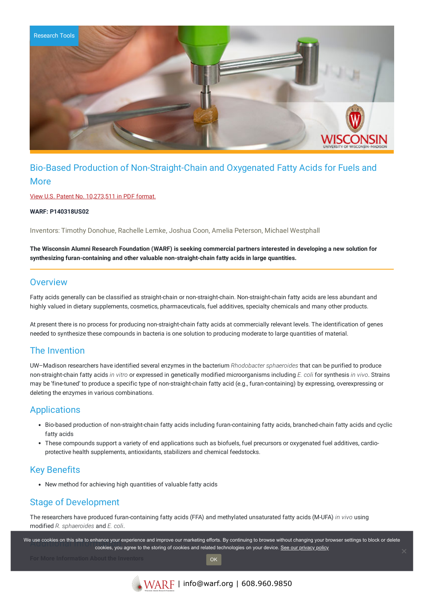

# Bio-Based Production of Non-Straight-Chain and Oxygenated Fatty Acids for Fuels and More

View U.S. Patent No. [10,273,511](https://www.warf.org/wp-content/uploads/technologies/ipstatus/P140318US02.pdf) in PDF format.

**WARF: P140318US02**

Inventors: Timothy Donohue, Rachelle Lemke, Joshua Coon, Amelia Peterson, Michael Westphall

The Wisconsin Alumni Research Foundation (WARF) is seeking commercial partners interested in developing a new solution for **synthesizing furan-containing and other valuable non-straight-chain fatty acids in large quantities.**

#### **Overview**

Fatty acids generally can be classified as straight-chain or non-straight-chain. Non-straight-chain fatty acids are less abundant and highly valued in dietary supplements, cosmetics, pharmaceuticals, fuel additives, specialty chemicals and many other products.

At present there is no process for producing non-straight-chain fatty acids at commercially relevant levels. The identification of genes needed to synthesize these compounds in bacteria is one solution to producing moderate to large quantities of material.

### The Invention

UW–Madison researchers have identified several enzymes in the bacterium *Rhodobacter sphaeroides* that can be purified to produce non-straight-chain fatty acids *in vitro* or expressed in genetically modified microorganisms including *E. coli* for synthesis *in vivo*. Strains may be 'fine-tuned' to produce a specific type of non-straight-chain fatty acid (e.g., furan-containing) by expressing, overexpressing or deleting the enzymes in various combinations.

## **Applications**

- Bio-based production of non-straight-chain fatty acids including furan-containing fatty acids, branched-chain fatty acids and cyclic fatty acids
- These compounds support a variety of end applications such as biofuels, fuel precursors or oxygenated fuel additives, cardioprotective health supplements, antioxidants, stabilizers and chemical feedstocks.

### Key Benefits

New method for achieving high quantities of valuable fatty acids

# Stage of Development

The researchers have produced furan-containing fatty acids (FFA) and methylated unsaturated fatty acids (M-UFA) *in vivo* using modified *R. sphaeroides* and *E. coli*.

We use cookies on this site to enhance your experience and improve our marketing efforts. By continuing to browse without changing your browser settings to block or delete continuing to browser without changing your browse cookies, you agree to the storing of cookies and related technologies on your device. [See our privacy policy](https://www.warf.org/privacy-policy/)

**OK**